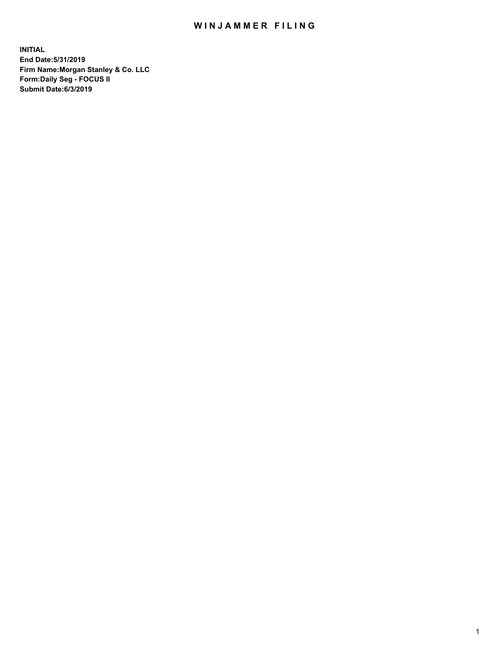## WIN JAMMER FILING

**INITIAL End Date:5/31/2019 Firm Name:Morgan Stanley & Co. LLC Form:Daily Seg - FOCUS II Submit Date:6/3/2019**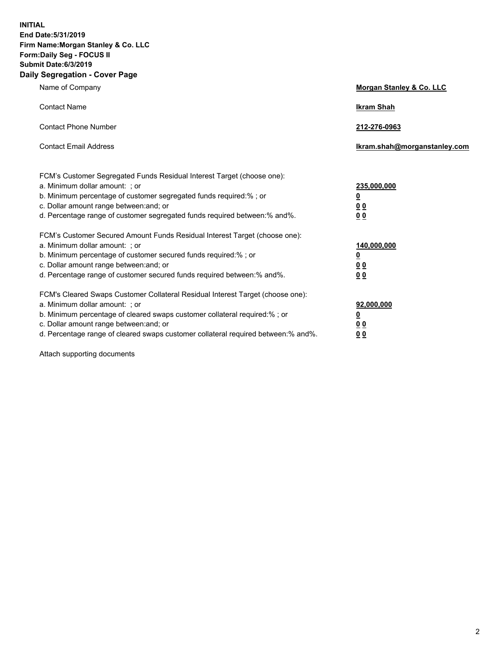**INITIAL End Date:5/31/2019 Firm Name:Morgan Stanley & Co. LLC Form:Daily Seg - FOCUS II Submit Date:6/3/2019 Daily Segregation - Cover Page**

| Name of Company                                                                                                                                                                                                                                                                                                                | Morgan Stanley & Co. LLC                                    |
|--------------------------------------------------------------------------------------------------------------------------------------------------------------------------------------------------------------------------------------------------------------------------------------------------------------------------------|-------------------------------------------------------------|
| <b>Contact Name</b>                                                                                                                                                                                                                                                                                                            | <b>Ikram Shah</b>                                           |
| <b>Contact Phone Number</b>                                                                                                                                                                                                                                                                                                    | 212-276-0963                                                |
| <b>Contact Email Address</b>                                                                                                                                                                                                                                                                                                   | Ikram.shah@morganstanley.com                                |
| FCM's Customer Segregated Funds Residual Interest Target (choose one):<br>a. Minimum dollar amount: ; or<br>b. Minimum percentage of customer segregated funds required:% ; or<br>c. Dollar amount range between: and; or<br>d. Percentage range of customer segregated funds required between:% and%.                         | 235,000,000<br><u>0</u><br>0 Q<br>0 Q                       |
| FCM's Customer Secured Amount Funds Residual Interest Target (choose one):<br>a. Minimum dollar amount: ; or<br>b. Minimum percentage of customer secured funds required:% ; or<br>c. Dollar amount range between: and; or<br>d. Percentage range of customer secured funds required between: % and %.                         | 140,000,000<br><u>0</u><br>0 <sub>0</sub><br>0 <sub>0</sub> |
| FCM's Cleared Swaps Customer Collateral Residual Interest Target (choose one):<br>a. Minimum dollar amount: ; or<br>b. Minimum percentage of cleared swaps customer collateral required:% ; or<br>c. Dollar amount range between: and; or<br>d. Percentage range of cleared swaps customer collateral required between:% and%. | 92,000,000<br><u>0</u><br>0 Q<br>00                         |

Attach supporting documents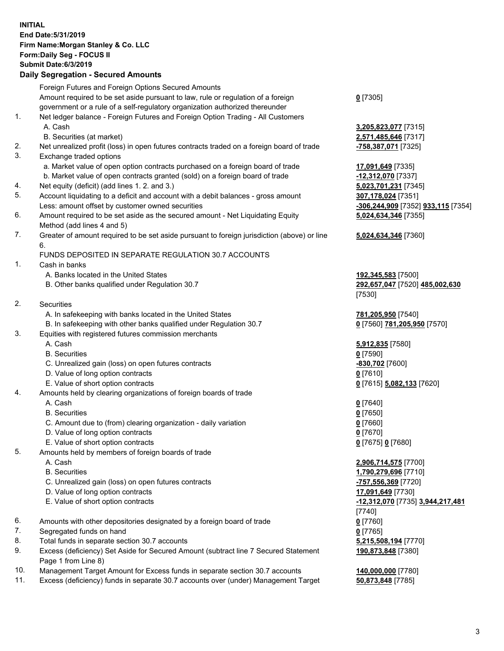## **INITIAL End Date:5/31/2019 Firm Name:Morgan Stanley & Co. LLC Form:Daily Seg - FOCUS II Submit Date:6/3/2019 Daily Segregation - Secured Amounts** Foreign Futures and Foreign Options Secured Amounts Amount required to be set aside pursuant to law, rule or regulation of a foreign government or a rule of a self-regulatory organization authorized thereunder 1. Net ledger balance - Foreign Futures and Foreign Option Trading - All Customers A. Cash **3,205,823,077** [7315] B. Securities (at market) **2,571,485,646** [7317] 2. Net unrealized profit (loss) in open futures contracts traded on a foreign board of trade **-758,387,071** [7325] 3. Exchange traded options a. Market value of open option contracts purchased on a foreign board of trade **17,091,649** [7335] b. Market value of open contracts granted (sold) on a foreign board of trade **-12,312,070** [7337] 4. Net equity (deficit) (add lines 1. 2. and 3.) **5,023,701,231** [7345] 5. Account liquidating to a deficit and account with a debit balances - gross amount **307,178,024** [7351] Less: amount offset by customer owned securities **-306,244,909** [7352] **933,115** [7354] 6. Amount required to be set aside as the secured amount - Net Liquidating Equity Method (add lines 4 and 5) 7. Greater of amount required to be set aside pursuant to foreign jurisdiction (above) or line 6. FUNDS DEPOSITED IN SEPARATE REGULATION 30.7 ACCOUNTS 1. Cash in banks A. Banks located in the United States **192,345,583** [7500] B. Other banks qualified under Regulation 30.7 **292,657,047** [7520] **485,002,630** 2. Securities A. In safekeeping with banks located in the United States **781,205,950** [7540] B. In safekeeping with other banks qualified under Regulation 30.7 **0** [7560] **781,205,950** [7570] 3. Equities with registered futures commission merchants A. Cash **5,912,835** [7580] B. Securities **0** [7590] C. Unrealized gain (loss) on open futures contracts **-830,702** [7600] D. Value of long option contracts **0** [7610] E. Value of short option contracts **0** [7615] **5,082,133** [7620] 4. Amounts held by clearing organizations of foreign boards of trade A. Cash **0** [7640] B. Securities **0** [7650]

- C. Amount due to (from) clearing organization daily variation **0** [7660]
- D. Value of long option contracts **0** [7670]
- E. Value of short option contracts **0** [7675] **0** [7680]
- 5. Amounts held by members of foreign boards of trade
	-
	-
	- C. Unrealized gain (loss) on open futures contracts **-757,556,369** [7720]
	- D. Value of long option contracts **17,091,649** [7730]
	-
- 6. Amounts with other depositories designated by a foreign board of trade **0** [7760]
- 7. Segregated funds on hand **0** [7765]
- 8. Total funds in separate section 30.7 accounts **5,215,508,194** [7770]
- 9. Excess (deficiency) Set Aside for Secured Amount (subtract line 7 Secured Statement Page 1 from Line 8)
- 10. Management Target Amount for Excess funds in separate section 30.7 accounts **140,000,000** [7780]
- 11. Excess (deficiency) funds in separate 30.7 accounts over (under) Management Target **50,873,848** [7785]

**0** [7305]

**5,024,634,346** [7355]

## **5,024,634,346** [7360]

[7530]

 A. Cash **2,906,714,575** [7700] B. Securities **1,790,279,696** [7710] E. Value of short option contracts **-12,312,070** [7735] **3,944,217,481** [7740] **190,873,848** [7380]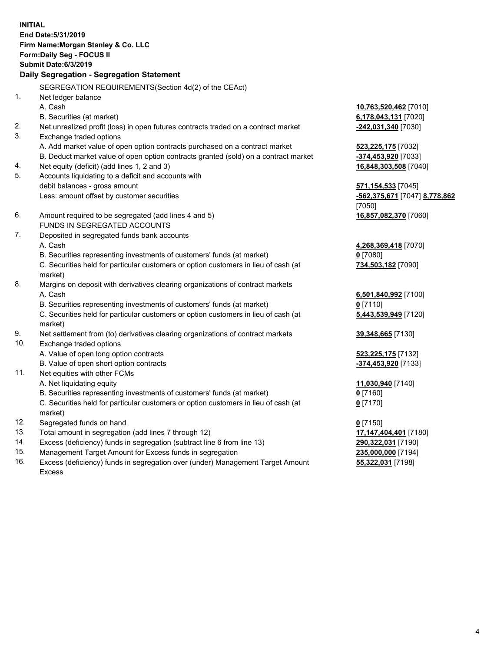**INITIAL End Date:5/31/2019 Firm Name:Morgan Stanley & Co. LLC Form:Daily Seg - FOCUS II Submit Date:6/3/2019 Daily Segregation - Segregation Statement** SEGREGATION REQUIREMENTS(Section 4d(2) of the CEAct) 1. Net ledger balance A. Cash **10,763,520,462** [7010] B. Securities (at market) **6,178,043,131** [7020] 2. Net unrealized profit (loss) in open futures contracts traded on a contract market **-242,031,340** [7030] 3. Exchange traded options A. Add market value of open option contracts purchased on a contract market **523,225,175** [7032] B. Deduct market value of open option contracts granted (sold) on a contract market **-374,453,920** [7033] 4. Net equity (deficit) (add lines 1, 2 and 3) **16,848,303,508** [7040] 5. Accounts liquidating to a deficit and accounts with debit balances - gross amount **571,154,533** [7045] Less: amount offset by customer securities **-562,375,671** [7047] **8,778,862** [7050] 6. Amount required to be segregated (add lines 4 and 5) **16,857,082,370** [7060] FUNDS IN SEGREGATED ACCOUNTS 7. Deposited in segregated funds bank accounts A. Cash **4,268,369,418** [7070] B. Securities representing investments of customers' funds (at market) **0** [7080] C. Securities held for particular customers or option customers in lieu of cash (at market) **734,503,182** [7090] 8. Margins on deposit with derivatives clearing organizations of contract markets A. Cash **6,501,840,992** [7100] B. Securities representing investments of customers' funds (at market) **0** [7110] C. Securities held for particular customers or option customers in lieu of cash (at market) **5,443,539,949** [7120] 9. Net settlement from (to) derivatives clearing organizations of contract markets **39,348,665** [7130] 10. Exchange traded options A. Value of open long option contracts **523,225,175** [7132] B. Value of open short option contracts **-374,453,920** [7133] 11. Net equities with other FCMs A. Net liquidating equity **11,030,940** [7140] B. Securities representing investments of customers' funds (at market) **0** [7160] C. Securities held for particular customers or option customers in lieu of cash (at market) **0** [7170] 12. Segregated funds on hand **0** [7150] 13. Total amount in segregation (add lines 7 through 12) **17,147,404,401** [7180] 14. Excess (deficiency) funds in segregation (subtract line 6 from line 13) **290,322,031** [7190]

- 15. Management Target Amount for Excess funds in segregation **235,000,000** [7194]
- 16. Excess (deficiency) funds in segregation over (under) Management Target Amount Excess

**55,322,031** [7198]